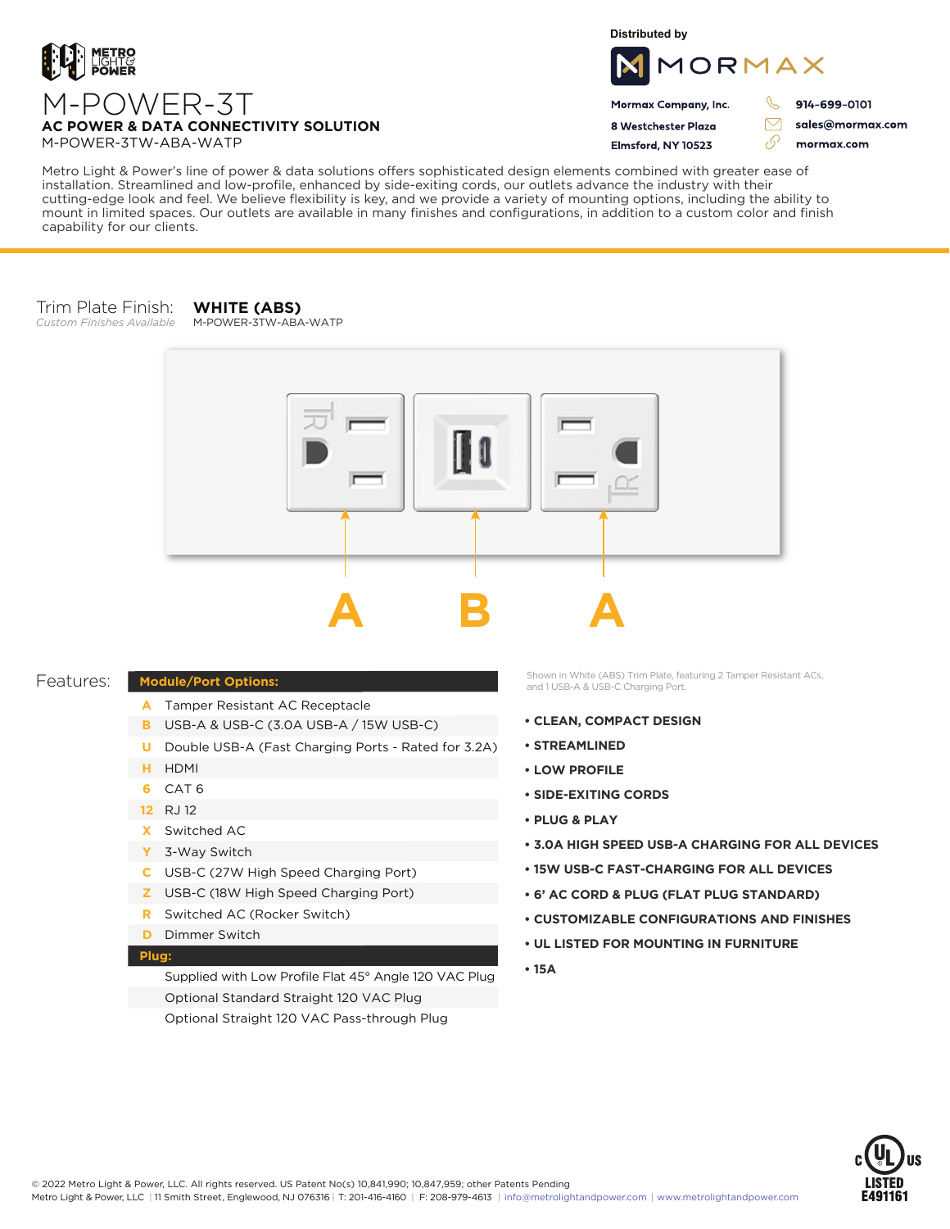

**Distributed by**



Mormax Company, Inc. 8 Westchester Plaza

Flmsford, NY 10523

914-699-0101

sales@mormax.com mormax.com

 $\triangledown$ 

76

Metro Light & Power's line of power & data solutions offers sophisticated design elements combined with greater ease of installation. Streamlined and low-profile, enhanced by side-exiting cords, our outlets advance the industry with their cutting-edge look and feel. We believe flexibility is key, and we provide a variety of mounting options, including the ability to mount in limited spaces. Our outlets are available in many finishes and configurations, in addition to a custom color and finish capability for our clients.

#### Trim Plate Finish: **WHITE (ABS)**

*Custom Finishes Available*

M-POWER-3TW-ABA-WATP



## Features:

# **Module/Port Options:**

- A Tamper Resistant AC Receptacle
- USB-A & USB-C (3.0A USB-A / 15W USB-C) **B**
- U Double USB-A (Fast Charging Ports Rated for 3.2A)
- HDMI **H**
- CAT 6 **6**
- 12 RJ 12
- Switched AC **X**
- 3-Way Switch **Y**
- USB-C (27W High Speed Charging Port) **C**
- USB-C (18W High Speed Charging Port) **Z**
- Switched AC (Rocker Switch) **R**
- **D** Dimmer Switch

## **Plug:**

Supplied with Low Profile Flat 45° Angle 120 VAC Plug Optional Standard Straight 120 VAC Plug Optional Straight 120 VAC Pass-through Plug

Shown in White (ABS) Trim Plate, featuring 2 Tamper Resistant ACs, and 1 USB-A & USB-C Charging Port.

- **CLEAN, COMPACT DESIGN**
- **STREAMLINED**
- **LOW PROFILE**
- **SIDE-EXITING CORDS**
- **PLUG & PLAY**
- **3.0A HIGH SPEED USB-A CHARGING FOR ALL DEVICES**
- **15W USB-C FAST-CHARGING FOR ALL DEVICES**
- **6' AC CORD & PLUG (FLAT PLUG STANDARD)**
- **CUSTOMIZABLE CONFIGURATIONS AND FINISHES**
- **UL LISTED FOR MOUNTING IN FURNITURE**
- **15A**